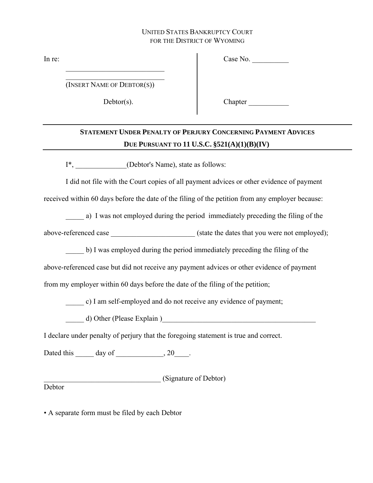## UNITED STATES BANKRUPTCY COURT FOR THE DISTRICT OF WYOMING

In re:

Case No.

\_\_\_\_\_\_\_\_\_\_\_\_\_\_\_\_\_\_\_\_\_\_\_\_\_\_\_ (INSERT NAME OF DEBTOR(S))

\_\_\_\_\_\_\_\_\_\_\_\_\_\_\_\_\_\_\_\_\_\_\_\_\_\_\_

Debtor(s).

Chapter  $\Box$ 

## **STATEMENT UNDER PENALTY OF PERJURY CONCERNING PAYMENT ADVICES DUE PURSUANT TO 11 U.S.C. §521(A)(1)(B)(IV)**

I\*, \_\_\_\_\_\_\_\_\_\_\_\_\_\_(Debtor's Name), state as follows:

I did not file with the Court copies of all payment advices or other evidence of payment

received within 60 days before the date of the filing of the petition from any employer because:

a) I was not employed during the period immediately preceding the filing of the

above-referenced case  $(state the dates that you were not employed);$ 

\_\_\_\_\_ b) I was employed during the period immediately preceding the filing of the

above-referenced case but did not receive any payment advices or other evidence of payment

from my employer within 60 days before the date of the filing of the petition;

\_\_\_\_\_ c) I am self-employed and do not receive any evidence of payment;

d) Other (Please Explain )

I declare under penalty of perjury that the foregoing statement is true and correct.

Dated this day of 20 and  $20$ 

(Signature of Debtor)

Debtor

• A separate form must be filed by each Debtor